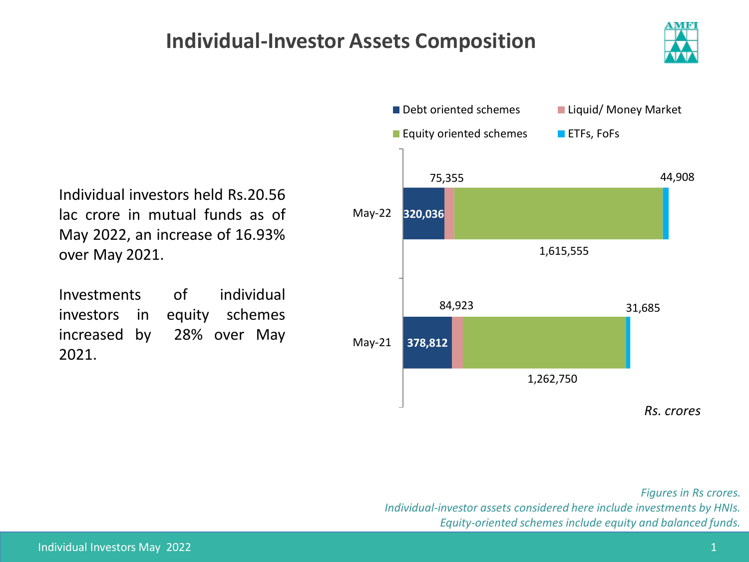## **Individual-Investor Assets Composition**



Individual investors held Rs.20.56 lac crore in mutual funds as of May 2022, an increase of 16.93% over May 2021.

Investments of individual investors in equity schemes increased by 28% over May 2021.



*Figures in Rs crores. Individual-investor assets considered here include investments by HNIs. Equity-oriented schemes include equity and balanced funds.*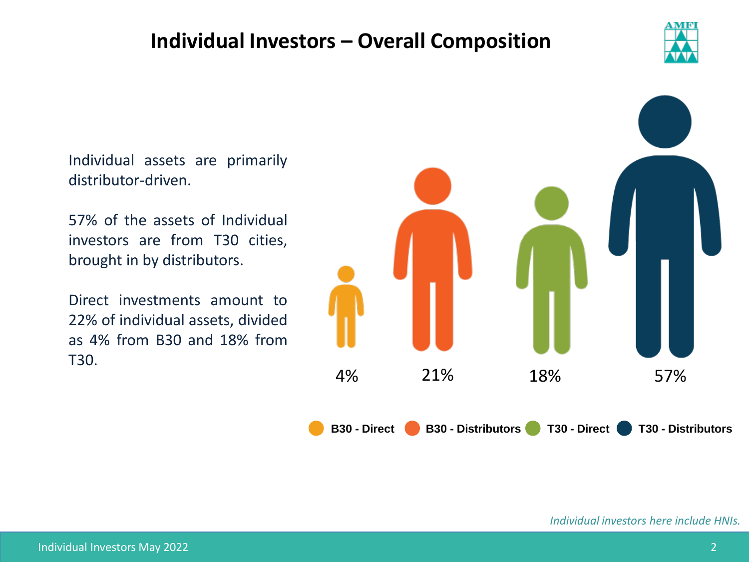## **Individual Investors – Overall Composition**



Individual assets are primarily distributor-driven.

57% of the assets of Individual investors are from T30 cities, brought in by distributors.

Direct investments amount to 22% of individual assets, divided as 4% from B30 and 18% from T30.



*Individual investors here include HNIs.*